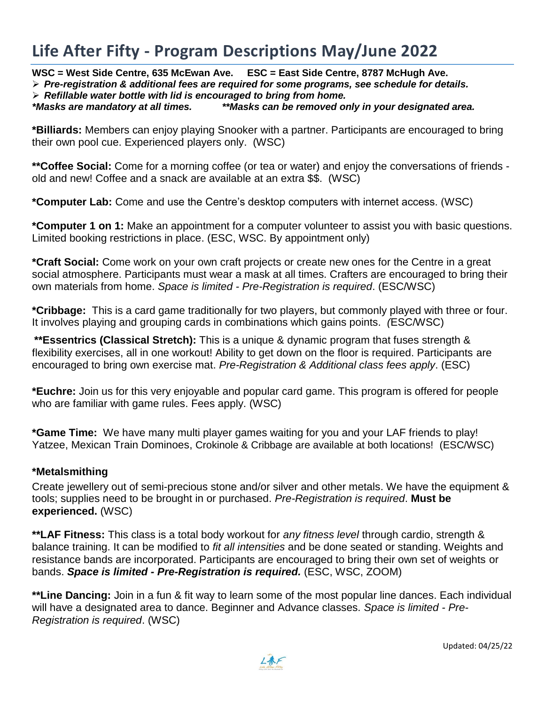# **Life After Fifty - Program Descriptions May/June 2022**

**WSC = West Side Centre, 635 McEwan Ave. ESC = East Side Centre, 8787 McHugh Ave.**

*Pre-registration & additional fees are required for some programs, see schedule for details.*

*Refillable water bottle with lid is encouraged to bring from home.* 

*\*Masks are mandatory at all times. \*\*Masks can be removed only in your designated area.*

**\*Billiards:** Members can enjoy playing Snooker with a partner. Participants are encouraged to bring their own pool cue. Experienced players only. (WSC)

**\*\*Coffee Social:** Come for a morning coffee (or tea or water) and enjoy the conversations of friends old and new! Coffee and a snack are available at an extra \$\$. (WSC)

**\*Computer Lab:** Come and use the Centre's desktop computers with internet access. (WSC)

**\*Computer 1 on 1:** Make an appointment for a computer volunteer to assist you with basic questions. Limited booking restrictions in place. (ESC, WSC. By appointment only)

**\*Craft Social:** Come work on your own craft projects or create new ones for the Centre in a great social atmosphere. Participants must wear a mask at all times. Crafters are encouraged to bring their own materials from home. *Space is limited - Pre-Registration is required*. (ESC/WSC)

**\*Cribbage:** This is a card game traditionally for two players, but commonly played with three or four. It involves playing and grouping cards in combinations which gains points. *(*ESC/WSC)

**\*\*Essentrics (Classical Stretch):** This is a unique & dynamic program that fuses strength & flexibility exercises, all in one workout! Ability to get down on the floor is required. Participants are encouraged to bring own exercise mat. *Pre-Registration & Additional class fees apply*. (ESC)

**\*Euchre:** Join us for this very enjoyable and popular card game. This program is offered for people who are familiar with game rules. Fees apply. (WSC)

**\*Game Time:** We have many multi player games waiting for you and your LAF friends to play! Yatzee, Mexican Train Dominoes, Crokinole & Cribbage are available at both locations! (ESC/WSC)

### **\*Metalsmithing**

Create jewellery out of semi-precious stone and/or silver and other metals. We have the equipment & tools; supplies need to be brought in or purchased. *Pre-Registration is required*. **Must be experienced.** (WSC)

**\*\*LAF Fitness:** This class is a total body workout for *any fitness level* through cardio, strength & balance training. It can be modified to *fit all intensities* and be done seated or standing. Weights and resistance bands are incorporated. Participants are encouraged to bring their own set of weights or bands. *Space is limited - Pre-Registration is required.* (ESC, WSC, ZOOM)

**\*\*Line Dancing:** Join in a fun & fit way to learn some of the most popular line dances. Each individual will have a designated area to dance. Beginner and Advance classes. *Space is limited - Pre-Registration is required*. (WSC)

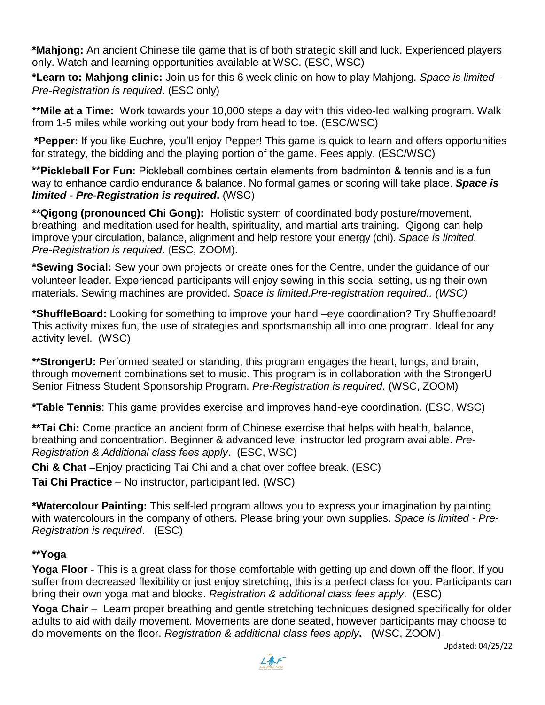**\*Mahjong:** An ancient Chinese tile game that is of both strategic skill and luck. Experienced players only. Watch and learning opportunities available at WSC. (ESC, WSC)

**\*Learn to: Mahjong clinic:** Join us for this 6 week clinic on how to play Mahjong. *Space is limited - Pre-Registration is required*. (ESC only)

**\*\*Mile at a Time:** Work towards your 10,000 steps a day with this video-led walking program. Walk from 1-5 miles while working out your body from head to toe. (ESC/WSC)

**\*Pepper:** If you like Euchre, you'll enjoy Pepper! This game is quick to learn and offers opportunities for strategy, the bidding and the playing portion of the game. Fees apply. (ESC/WSC)

**\*\*Pickleball For Fun:** Pickleball combines certain elements from badminton & tennis and is a fun way to enhance cardio endurance & balance. No formal games or scoring will take place. *Space is limited - Pre-Registration is required***.** (WSC)

**\*\*Qigong (pronounced Chi Gong):** Holistic system of coordinated body posture/movement, breathing, and meditation used for health, spirituality, and martial arts training. Qigong can help improve your circulation, balance, alignment and help restore your energy (chi). *Space is limited. Pre-Registration is required*. (ESC, ZOOM).

**\*Sewing Social:** Sew your own projects or create ones for the Centre, under the guidance of our volunteer leader. Experienced participants will enjoy sewing in this social setting, using their own materials. Sewing machines are provided. *Space is limited.Pre-registration required.. (WSC)*

**\*ShuffleBoard:** Looking for something to improve your hand –eye coordination? Try Shuffleboard! This activity mixes fun, the use of strategies and sportsmanship all into one program. Ideal for any activity level. (WSC)

\*\*StrongerU: Performed seated or standing, this program engages the heart, lungs, and brain, through movement combinations set to music. This program is in collaboration with the StrongerU Senior Fitness Student Sponsorship Program. *Pre-Registration is required*. (WSC, ZOOM)

**\*Table Tennis**: This game provides exercise and improves hand-eye coordination. (ESC, WSC)

\*\*Tai Chi: Come practice an ancient form of Chinese exercise that helps with health, balance, breathing and concentration. Beginner & advanced level instructor led program available. *Pre-Registration & Additional class fees apply*. (ESC, WSC)

**Chi & Chat** –Enjoy practicing Tai Chi and a chat over coffee break. (ESC)

**Tai Chi Practice** – No instructor, participant led. (WSC)

**\*Watercolour Painting:** This self-led program allows you to express your imagination by painting with watercolours in the company of others. Please bring your own supplies. *Space is limited - Pre-Registration is required*. (ESC)

## **\*\*Yoga**

**Yoga Floor** - This is a great class for those comfortable with getting up and down off the floor. If you suffer from decreased flexibility or just enjoy stretching, this is a perfect class for you. Participants can bring their own yoga mat and blocks. *Registration & additional class fees apply*. (ESC)

**Yoga Chair** – Learn proper breathing and gentle stretching techniques designed specifically for older adults to aid with daily movement. Movements are done seated, however participants may choose to do movements on the floor. *Registration & additional class fees apply***.** (WSC, ZOOM)